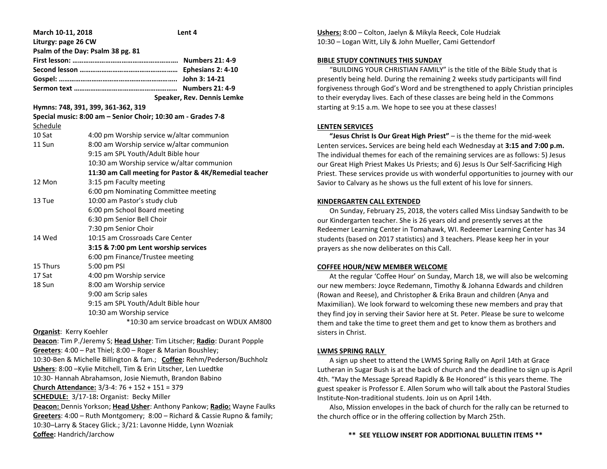| March 10-11, 2018                                                                                                                                    | Lent 4                                                                  |
|------------------------------------------------------------------------------------------------------------------------------------------------------|-------------------------------------------------------------------------|
| Liturgy: page 26 CW                                                                                                                                  |                                                                         |
|                                                                                                                                                      | Psalm of the Day: Psalm 38 pg. 81                                       |
|                                                                                                                                                      |                                                                         |
|                                                                                                                                                      |                                                                         |
|                                                                                                                                                      |                                                                         |
|                                                                                                                                                      |                                                                         |
|                                                                                                                                                      | Speaker, Rev. Dennis Lemke                                              |
| Hymns: 748, 391, 399, 361-362, 319                                                                                                                   |                                                                         |
|                                                                                                                                                      | Special music: 8:00 am - Senior Choir; 10:30 am - Grades 7-8            |
| Schedule                                                                                                                                             |                                                                         |
| 10 Sat                                                                                                                                               | 4:00 pm Worship service w/altar communion                               |
| 11 Sun                                                                                                                                               | 8:00 am Worship service w/altar communion                               |
|                                                                                                                                                      | 9:15 am SPL Youth/Adult Bible hour                                      |
|                                                                                                                                                      | 10:30 am Worship service w/altar communion                              |
|                                                                                                                                                      | 11:30 am Call meeting for Pastor & 4K/Remedial teacher                  |
| 12 Mon                                                                                                                                               | 3:15 pm Faculty meeting                                                 |
|                                                                                                                                                      | 6:00 pm Nominating Committee meeting                                    |
| 13 Tue                                                                                                                                               | 10:00 am Pastor's study club                                            |
|                                                                                                                                                      | 6:00 pm School Board meeting                                            |
|                                                                                                                                                      | 6:30 pm Senior Bell Choir                                               |
|                                                                                                                                                      | 7:30 pm Senior Choir                                                    |
| 14 Wed                                                                                                                                               | 10:15 am Crossroads Care Center                                         |
|                                                                                                                                                      | 3:15 & 7:00 pm Lent worship services                                    |
|                                                                                                                                                      | 6:00 pm Finance/Trustee meeting                                         |
| 15 Thurs                                                                                                                                             | 5:00 pm PSI                                                             |
| 17 Sat                                                                                                                                               | 4:00 pm Worship service                                                 |
| 18 Sun                                                                                                                                               | 8:00 am Worship service                                                 |
|                                                                                                                                                      | 9:00 am Scrip sales                                                     |
|                                                                                                                                                      | 9:15 am SPL Youth/Adult Bible hour                                      |
|                                                                                                                                                      | 10:30 am Worship service                                                |
|                                                                                                                                                      | *10:30 am service broadcast on WDUX AM800                               |
| <b>Organist: Kerry Koehler</b>                                                                                                                       |                                                                         |
|                                                                                                                                                      | Deacon: Tim P./Jeremy S; Head Usher: Tim Litscher; Radio: Durant Popple |
|                                                                                                                                                      | Greeters: 4:00 - Pat Thiel; 8:00 - Roger & Marian Boushley;             |
|                                                                                                                                                      | 10:30-Ben & Michelle Billington & fam.; Coffee: Rehm/Pederson/Buchholz  |
|                                                                                                                                                      | Ushers: 8:00 - Kylie Mitchell, Tim & Erin Litscher, Len Luedtke         |
| 10:30- Hannah Abrahamson, Josie Niemuth, Brandon Babino                                                                                              |                                                                         |
| Church Attendance: 3/3-4: 76 + 152 + 151 = 379                                                                                                       |                                                                         |
| <b>SCHEDULE:</b> 3/17-18: Organist: Becky Miller                                                                                                     |                                                                         |
| Deacon: Dennis Yorkson; Head Usher: Anthony Pankow; Radio: Wayne Faulks<br>Greeters: 4:00 - Ruth Montgomery; 8:00 - Richard & Cassie Rupno & family; |                                                                         |
| 10:30-Larry & Stacey Glick.; 3/21: Lavonne Hidde, Lynn Wozniak                                                                                       |                                                                         |
|                                                                                                                                                      |                                                                         |
| Coffee: Handrich/Jarchow                                                                                                                             |                                                                         |

**Ushers:** 8:00 – Colton, Jaelyn & Mikyla Reeck, Cole Hudziak 10:30 – Logan Witt, Lily & John Mueller, Cami Gettendorf

# **BIBLE STUDY CONTINUES THIS SUNDAY**

 "BUILDING YOUR CHRISTIAN FAMILY" is the title of the Bible Study that is presently being held. During the remaining 2 weeks study participants will find forgiveness through God's Word and be strengthened to apply Christian principles to their everyday lives. Each of these classes are being held in the Commons starting at 9:15 a.m. We hope to see you at these classes!

# **LENTEN SERVICES**

 **"Jesus Christ Is Our Great High Priest"** – is the theme for the mid-week Lenten services**.** Services are being held each Wednesday at **3:15 and 7:00 p.m.** The individual themes for each of the remaining services are as follows: 5) Jesus our Great High Priest Makes Us Priests; and 6) Jesus Is Our Self-Sacrificing High Priest. These services provide us with wonderful opportunities to journey with our Savior to Calvary as he shows us the full extent of his love for sinners.

# **KINDERGARTEN CALL EXTENDED**

 On Sunday, February 25, 2018, the voters called Miss Lindsay Sandwith to be our Kindergarten teacher. She is 26 years old and presently serves at the Redeemer Learning Center in Tomahawk, WI. Redeemer Learning Center has 34 students (based on 2017 statistics) and 3 teachers. Please keep her in your prayers as she now deliberates on this Call.

# **COFFEE HOUR/NEW MEMBER WELCOME**

 At the regular 'Coffee Hour' on Sunday, March 18, we will also be welcoming our new members: Joyce Redemann, Timothy & Johanna Edwards and children (Rowan and Reese), and Christopher & Erika Braun and children (Anya and Maximilian). We look forward to welcoming these new members and pray that they find joy in serving their Savior here at St. Peter. Please be sure to welcome them and take the time to greet them and get to know them as brothers and sisters in Christ.

# **LWMS SPRING RALLY**

 A sign up sheet to attend the LWMS Spring Rally on April 14th at Grace Lutheran in Sugar Bush is at the back of church and the deadline to sign up is April 4th. "May the Message Spread Rapidly & Be Honored" is this years theme. The guest speaker is Professor E. Allen Sorum who will talk about the Pastoral Studies Institute-Non-traditional students. Join us on April 14th.

 Also, Mission envelopes in the back of church for the rally can be returned to the church office or in the offering collection by March 25th.

# **\*\* SEE YELLOW INSERT FOR ADDITIONAL BULLETIN ITEMS \*\***